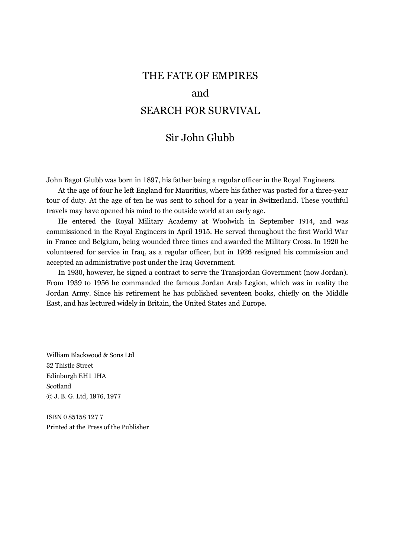# THE FATE OF EMPIRES and SEARCH FOR SURVIVAL

# Sir John Glubb

John Bagot Glubb was born in 1897, his father being a regular officer in the Royal Engineers.

At the age of four he left England for Mauritius, where his father was posted for a three-year tour of duty. At the age of ten he was sent to school for a year in Switzerland. These youthful travels may have opened his mind to the outside world at an early age.

He entered the Royal Military Academy at Woolwich in September 1914, and was commissioned in the Royal Engineers in April 1915. He served throughout the first World War in France and Belgium, being wounded three times and awarded the Military Cross. In 1920 he volunteered for service in Iraq, as a regular officer, but in 1926 resigned his commission and accepted an administrative post under the Iraq Government.

In 1930, however, he signed a contract to serve the Transjordan Government (now Jordan). From 1939 to 1956 he commanded the famous Jordan Arab Legion, which was in reality the Jordan Army. Since his retirement he has published seventeen books, chiefly on the Middle East, and has lectured widely in Britain, the United States and Europe.

William Blackwood & Sons Ltd 32 Thistle Street Edinburgh EH1 1HA Scotland © J. B. G. Ltd, 1976, 1977

ISBN 0 85158 127 7 Printed at the Press of the Publisher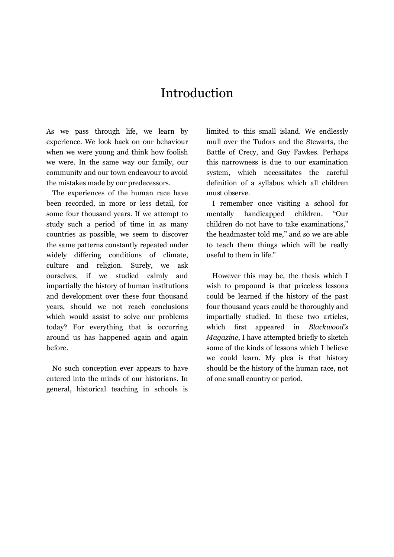# Introduction

As we pass through life, we learn by experience. We look back on our behaviour when we were young and think how foolish we were. In the same way our family, our community and our town endeavour to avoid the mistakes made by our predecessors.

The experiences of the human race have been recorded, in more or less detail, for some four thousand years. If we attempt to study such a period of time in as many countries as possible, we seem to discover the same patterns constantly repeated under widely differing conditions of climate, culture and religion. Surely, we ask ourselves, if we studied calmly and impartially the history of human institutions and development over these four thousand years, should we not reach conclusions which would assist to solve our problems today? For everything that is occurring around us has happened again and again before.

No such conception ever appears to have entered into the minds of our historians. In general, historical teaching in schools is

limited to this small island. We endlessly mull over the Tudors and the Stewarts, the Battle of Crecy, and Guy Fawkes. Perhaps this narrowness is due to our examination system, which necessitates the careful definition of a syllabus which all children must observe.

I remember once visiting a school for mentally handicapped children. "Our children do not have to take examinations," the headmaster told me," and so we are able to teach them things which will be really useful to them in life."

However this may be, the thesis which I wish to propound is that priceless lessons could be learned if the history of the past four thousand years could be thoroughly and impartially studied. In these two articles, which first appeared in *Blackwood's Magazine*, I have attempted briefly to sketch some of the kinds of lessons which I believe we could learn. My plea is that history should be the history of the human race, not of one small country or period.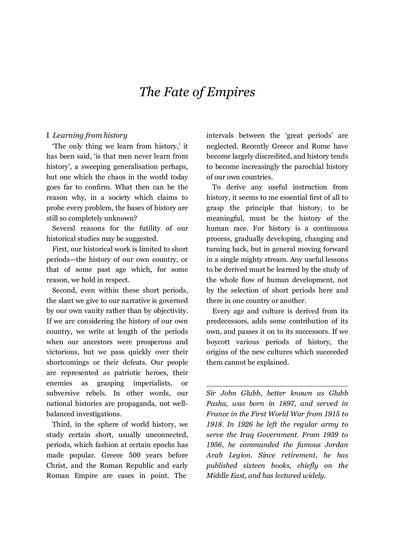# *The Fate of Empires*

## I *Learning from history*

'The only thing we learn from history,' it has been said, 'is that men never learn from history', a sweeping generalisation perhaps, but one which the chaos in the world today goes far to confirm. What then can be the reason why, in a society which claims to probe every problem, the bases of history are still so completely unknown?

Several reasons for the futility of our historical studies may be suggested.

First, our historical work is limited to short periods—the history of our own country, or that of some past age which, for some reason, we hold in respect.

Second, even within these short periods, the slant we give to our narrative is governed by our own vanity rather than by objectivity. If we are considering the history of our own country, we write at length of the periods when our ancestors were prosperous and victorious, but we pass quickly over their shortcomings or their defeats. Our people are represented as patriotic heroes, their enemies as grasping imperialists, or subversive rebels. In other words, our national histories are propaganda, not wellbalanced investigations.

Third, in the sphere of world history, we study certain short, usually unconnected, periods, which fashion at certain epochs has made popular. Greece 500 years before Christ, and the Roman Republic and early Roman Empire are cases in point. The

intervals between the 'great periods' are neglected. Recently Greece and Rome have become largely discredited, and history tends to become increasingly the parochial history of our own countries.

To derive any useful instruction from history, it seems to me essential first of all to grasp the principle that history, to be meaningful, must be the history of the human race. For history is a continuous process, gradually developing, changing and turning back, but in general moving forward in a single mighty stream. Any useful lessons to be derived must be learned by the study of the whole flow of human development, not by the selection of short periods here and there in one country or another.

Every age and culture is derived from its predecessors, adds some contribution of its own, and passes it on to its successors. If we boycott various periods of history, the origins of the new cultures which succeeded them cannot be explained.

\_\_\_\_\_\_\_\_\_\_\_\_\_\_\_\_\_\_\_\_\_\_\_\_\_\_\_\_\_\_\_

*Sir John Glubb, better known as Glubb Pasha, was born in 1897, and served in France in the First World War from 1915 to 1918. In 1926 he left the regular army to serve the Iraq Government. From 1939 to 1956, he commanded the famous Jordan Arab Legion. Since retirement, he has published sixteen books, chiefly on the Middle East, and has lectured widely.*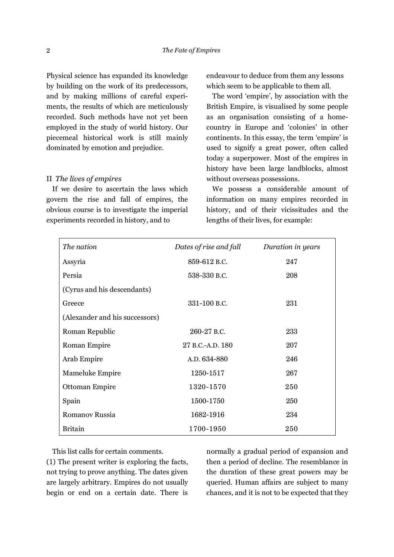Physical science has expanded its knowledge by building on the work of its predecessors, and by making millions of careful experiments, the results of which are meticulously recorded. Such methods have not yet been employed in the study of world history. Our piecemeal historical work is still mainly dominated by emotion and prejudice.

# II *The lives of empires*

If we desire to ascertain the laws which govern the rise and fall of empires, the obvious course is to investigate the imperial experiments recorded in history, and to

endeavour to deduce from them any lessons which seem to be applicable to them all.

The word 'empire', by association with the British Empire, is visualised by some people as an organisation consisting of a homecountry in Europe and 'colonies' in other continents. In this essay, the term 'empire' is used to signify a great power, often called today a superpower. Most of the empires in history have been large landblocks, almost without overseas possessions.

We possess a considerable amount of information on many empires recorded in history, and of their vicissitudes and the lengths of their lives, for example:

| The nation                     | Dates of rise and fall | Duration in years |
|--------------------------------|------------------------|-------------------|
| Assyria                        | 859-612 B.C.           | 247               |
| Persia                         | 538-330 B.C.           | 208               |
| (Cyrus and his descendants)    |                        |                   |
| Greece                         | 331-100 B.C.           | 231               |
| (Alexander and his successors) |                        |                   |
| Roman Republic                 | 260-27 B.C.            | 233               |
| <b>Roman Empire</b>            | 27 B.C.-A.D. 180       | 207               |
| Arab Empire                    | A.D. 634-880           | 246               |
| Mameluke Empire                | 1250-1517              | 267               |
| <b>Ottoman Empire</b>          | 1320-1570              | 250               |
| Spain                          | 1500-1750              | 250               |
| Romanov Russia                 | 1682-1916              | 234               |
| <b>Britain</b>                 | 1700-1950              | 250               |

This list calls for certain comments.

(1) The present writer is exploring the facts, not trying to prove anything. The dates given are largely arbitrary. Empires do not usually begin or end on a certain date. There is

normally a gradual period of expansion and then a period of decline. The resemblance in the duration of these great powers may be queried. Human affairs are subject to many chances, and it is not to be expected that they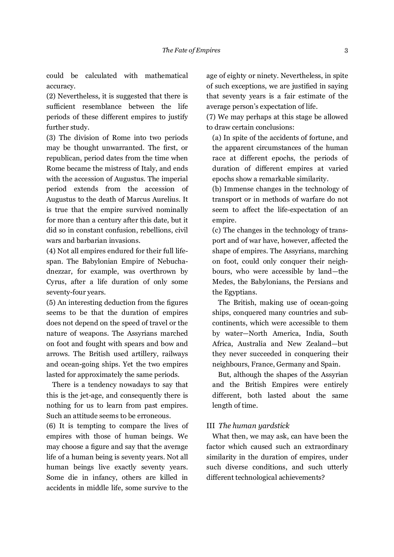could be calculated with mathematical accuracy.

(2) Nevertheless, it is suggested that there is sufficient resemblance between the life periods of these different empires to justify further study.

(3) The division of Rome into two periods may be thought unwarranted. The first, or republican, period dates from the time when Rome became the mistress of Italy, and ends with the accession of Augustus. The imperial period extends from the accession of Augustus to the death of Marcus Aurelius. It is true that the empire survived nominally for more than a century after this date, but it did so in constant confusion, rebellions, civil wars and barbarian invasions.

(4) Not all empires endured for their full lifespan. The Babylonian Empire of Nebuchadnezzar, for example, was overthrown by Cyrus, after a life duration of only some seventy-four years.

(5) An interesting deduction from the figures seems to be that the duration of empires does not depend on the speed of travel or the nature of weapons. The Assyrians marched on foot and fought with spears and bow and arrows. The British used artillery, railways and ocean-going ships. Yet the two empires lasted for approximately the same periods.

There is a tendency nowadays to say that this is the jet-age, and consequently there is nothing for us to learn from past empires. Such an attitude seems to be erroneous.

(6) It is tempting to compare the lives of empires with those of human beings. We may choose a figure and say that the average life of a human being is seventy years. Not all human beings live exactly seventy years. Some die in infancy, others are killed in accidents in middle life, some survive to the

age of eighty or ninety. Nevertheless, in spite of such exceptions, we are justified in saying that seventy years is a fair estimate of the average person's expectation of life.

(7) We may perhaps at this stage be allowed to draw certain conclusions:

(a) In spite of the accidents of fortune, and the apparent circumstances of the human race at different epochs, the periods of duration of different empires at varied epochs show a remarkable similarity.

(b) Immense changes in the technology of transport or in methods of warfare do not seem to affect the life-expectation of an empire.

(c) The changes in the technology of transport and of war have, however, affected the shape of empires. The Assyrians, marching on foot, could only conquer their neighbours, who were accessible by land—the Medes, the Babylonians, the Persians and the Egyptians.

The British, making use of ocean-going ships, conquered many countries and subcontinents, which were accessible to them by water—North America, India, South Africa, Australia and New Zealand—but they never succeeded in conquering their neighbours, France, Germany and Spain.

But, although the shapes of the Assyrian and the British Empires were entirely different, both lasted about the same length of time.

# III *The human yardstick*

What then, we may ask, can have been the factor which caused such an extraordinary similarity in the duration of empires, under such diverse conditions, and such utterly different technological achievements?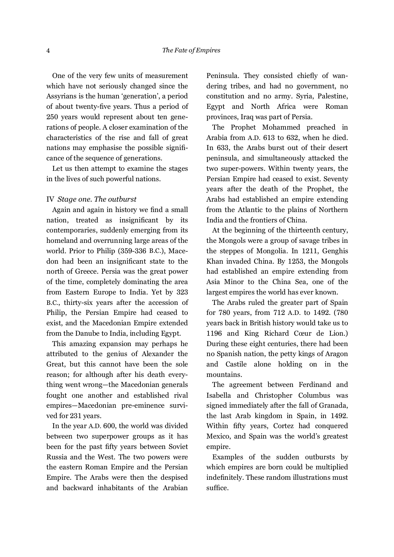One of the very few units of measurement which have not seriously changed since the Assyrians is the human 'generation', a period of about twenty-five years. Thus a period of 250 years would represent about ten generations of people. A closer examination of the characteristics of the rise and fall of great nations may emphasise the possible significance of the sequence of generations.

Let us then attempt to examine the stages in the lives of such powerful nations.

#### IV *Stage one. The outburst*

Again and again in history we find a small nation, treated as insignificant by its contemporaries, suddenly emerging from its homeland and overrunning large areas of the world. Prior to Philip (359-336 B.C.), Macedon had been an insignificant state to the north of Greece. Persia was the great power of the time, completely dominating the area from Eastern Europe to India. Yet by 323 B.C., thirty-six years after the accession of Philip, the Persian Empire had ceased to exist, and the Macedonian Empire extended from the Danube to India, including Egypt.

This amazing expansion may perhaps he attributed to the genius of Alexander the Great, but this cannot have been the sole reason; for although after his death everything went wrong—the Macedonian generals fought one another and established rival empires—Macedonian pre-eminence survived for 231 years.

In the year A.D. 600, the world was divided between two superpower groups as it has been for the past fifty years between Soviet Russia and the West. The two powers were the eastern Roman Empire and the Persian Empire. The Arabs were then the despised and backward inhabitants of the Arabian Peninsula. They consisted chiefly of wandering tribes, and had no government, no constitution and no army. Syria, Palestine, Egypt and North Africa were Roman provinces, Iraq was part of Persia.

The Prophet Mohammed preached in Arabia from A.D. 613 to 632, when he died. In 633, the Arabs burst out of their desert peninsula, and simultaneously attacked the two super-powers. Within twenty years, the Persian Empire had ceased to exist. Seventy years after the death of the Prophet, the Arabs had established an empire extending from the Atlantic to the plains of Northern India and the frontiers of China.

At the beginning of the thirteenth century, the Mongols were a group of savage tribes in the steppes of Mongolia. In 1211, Genghis Khan invaded China. By 1253, the Mongols had established an empire extending from Asia Minor to the China Sea, one of the largest empires the world has ever known.

The Arabs ruled the greater part of Spain for 780 years, from 712 A.D. to 1492. (780 years back in British history would take us to 1196 and King Richard Cœur de Lion.) During these eight centuries, there had been no Spanish nation, the petty kings of Aragon and Castile alone holding on in the mountains.

The agreement between Ferdinand and Isabella and Christopher Columbus was signed immediately after the fall of Granada, the last Arab kingdom in Spain, in 1492. Within fifty years, Cortez had conquered Mexico, and Spain was the world's greatest empire.

Examples of the sudden outbursts by which empires are born could be multiplied indefinitely. These random illustrations must suffice.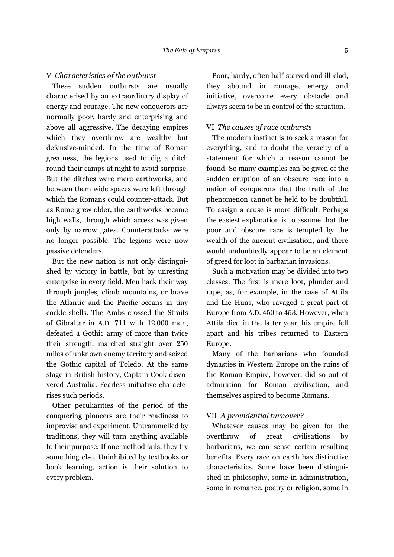#### V *Characteristics of the outburst*

These sudden outbursts are usually characterised by an extraordinary display of energy and courage. The new conquerors are normally poor, hardy and enterprising and above all aggressive. The decaying empires which they overthrow are wealthy but defensive-minded. In the time of Roman greatness, the legions used to dig a ditch round their camps at night to avoid surprise. But the ditches were mere earthworks, and between them wide spaces were left through which the Romans could counter-attack. But as Rome grew older, the earthworks became high walls, through which access was given only by narrow gates. Counterattacks were no longer possible. The legions were now passive defenders.

But the new nation is not only distinguished by victory in battle, but by unresting enterprise in every field. Men hack their way through jungles, climb mountains, or brave the Atlantic and the Pacific oceans in tiny cockle-shells. The Arabs crossed the Straits of Gibraltar in A.D. 711 with 12,000 men, defeated a Gothic army of more than twice their strength, marched straight over 250 miles of unknown enemy territory and seized the Gothic capital of Toledo. At the same stage in British history, Captain Cook discovered Australia. Fearless initiative characterises such periods.

Other peculiarities of the period of the conquering pioneers are their readiness to improvise and experiment. Untrammelled by traditions, they will turn anything available to their purpose. If one method fails, they try something else. Uninhibited by textbooks or book learning, action is their solution to every problem.

Poor, hardy, often half-starved and ill-clad, they abound in courage, energy and initiative, overcome every obstacle and always seem to be in control of the situation.

#### VI *The causes of race outbursts*

The modern instinct is to seek a reason for everything, and to doubt the veracity of a statement for which a reason cannot be found. So many examples can be given of the sudden eruption of an obscure race into a nation of conquerors that the truth of the phenomenon cannot be held to be doubtful. To assign a cause is more difficult. Perhaps the easiest explanation is to assume that the poor and obscure race is tempted by the wealth of the ancient civilisation, and there would undoubtedly appear to be an element of greed for loot in barbarian invasions.

Such a motivation may be divided into two classes. The first is mere loot, plunder and rape, as, for example, in the case of Attila and the Huns, who ravaged a great part of Europe from A.D. 450 to 453. However, when Attila died in the latter year, his empire fell apart and his tribes returned to Eastern Europe.

Many of the barbarians who founded dynasties in Western Europe on the ruins of the Roman Empire, however, did so out of admiration for Roman civilisation, and themselves aspired to become Romans.

#### VII *A providential turnover?*

Whatever causes may be given for the overthrow of great civilisations by barbarians, we can sense certain resulting benefits. Every race on earth has distinctive characteristics. Some have been distinguished in philosophy, some in administration, some in romance, poetry or religion, some in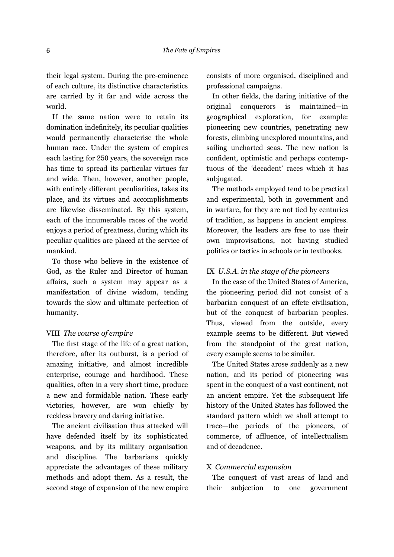their legal system. During the pre-eminence of each culture, its distinctive characteristics are carried by it far and wide across the world.

If the same nation were to retain its domination indefinitely, its peculiar qualities would permanently characterise the whole human race. Under the system of empires each lasting for 250 years, the sovereign race has time to spread its particular virtues far and wide. Then, however, another people, with entirely different peculiarities, takes its place, and its virtues and accomplishments are likewise disseminated. By this system, each of the innumerable races of the world enjoys a period of greatness, during which its peculiar qualities are placed at the service of mankind.

To those who believe in the existence of God, as the Ruler and Director of human affairs, such a system may appear as a manifestation of divine wisdom, tending towards the slow and ultimate perfection of humanity.

# VIII *The course of empire*

The first stage of the life of a great nation, therefore, after its outburst, is a period of amazing initiative, and almost incredible enterprise, courage and hardihood. These qualities, often in a very short time, produce a new and formidable nation. These early victories, however, are won chiefly by reckless bravery and daring initiative.

The ancient civilisation thus attacked will have defended itself by its sophisticated weapons, and by its military organisation and discipline. The barbarians quickly appreciate the advantages of these military methods and adopt them. As a result, the second stage of expansion of the new empire consists of more organised, disciplined and professional campaigns.

In other fields, the daring initiative of the original conquerors is maintained—in geographical exploration, for example: pioneering new countries, penetrating new forests, climbing unexplored mountains, and sailing uncharted seas. The new nation is confident, optimistic and perhaps contemptuous of the 'decadent' races which it has subjugated.

The methods employed tend to be practical and experimental, both in government and in warfare, for they are not tied by centuries of tradition, as happens in ancient empires. Moreover, the leaders are free to use their own improvisations, not having studied politics or tactics in schools or in textbooks.

# IX *U.S.A. in the stage of the pioneers*

In the case of the United States of America, the pioneering period did not consist of a barbarian conquest of an effete civilisation, but of the conquest of barbarian peoples. Thus, viewed from the outside, every example seems to be different. But viewed from the standpoint of the great nation, every example seems to be similar.

The United States arose suddenly as a new nation, and its period of pioneering was spent in the conquest of a vast continent, not an ancient empire. Yet the subsequent life history of the United States has followed the standard pattern which we shall attempt to trace—the periods of the pioneers, of commerce, of affluence, of intellectualism and of decadence.

# X *Commercial expansion*

The conquest of vast areas of land and their subjection to one government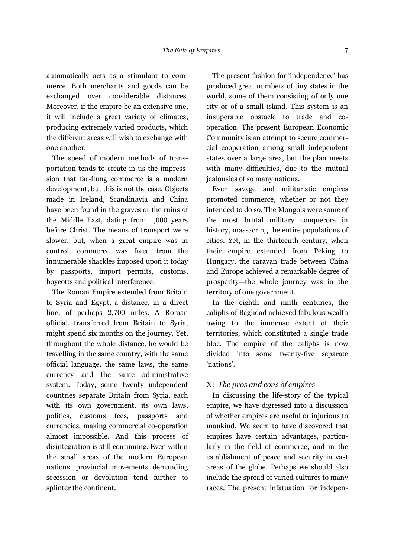automatically acts as a stimulant to commerce. Both merchants and goods can be exchanged over considerable distances. Moreover, if the empire be an extensive one, it will include a great variety of climates, producing extremely varied products, which the different areas will wish to exchange with one another.

The speed of modern methods of transportation tends to create in us the impresssion that far-flung commerce is a modern development, but this is not the case. Objects made in Ireland, Scandinavia and China have been found in the graves or the ruins of the Middle East, dating from 1,000 years before Christ. The means of transport were slower, but, when a great empire was in control, commerce was freed from the innumerable shackles imposed upon it today by passports, import permits, customs, boycotts and political interference.

The Roman Empire extended from Britain to Syria and Egypt, a distance, in a direct line, of perhaps 2,700 miles. A Roman official, transferred from Britain to Syria, might spend six months on the journey. Yet, throughout the whole distance, he would be travelling in the same country, with the same official language, the same laws, the same currency and the same administrative system. Today, some twenty independent countries separate Britain from Syria, each with its own government, its own laws, politics, customs fees, passports and currencies, making commercial co-operation almost impossible. And this process of disintegration is still continuing. Even within the small areas of the modern European nations, provincial movements demanding secession or devolution tend further to splinter the continent.

The present fashion for 'independence' has produced great numbers of tiny states in the world, some of them consisting of only one city or of a small island. This system is an insuperable obstacle to trade and cooperation. The present European Economic Community is an attempt to secure commercial cooperation among small independent states over a large area, but the plan meets with many difficulties, due to the mutual jealousies of so many nations.

Even savage and militaristic empires promoted commerce, whether or not they intended to do so. The Mongols were some of the most brutal military conquerors in history, massacring the entire populations of cities. Yet, in the thirteenth century, when their empire extended from Peking to Hungary, the caravan trade between China and Europe achieved a remarkable degree of prosperity—the whole journey was in the territory of one government.

In the eighth and ninth centuries, the caliphs of Baghdad achieved fabulous wealth owing to the immense extent of their territories, which constituted a single trade bloc. The empire of the caliphs is now divided into some twenty-five separate 'nations'.

# XI *The pros and cons of empires*

In discussing the life-story of the typical empire, we have digressed into a discussion of whether empires are useful or injurious to mankind. We seem to have discovered that empires have certain advantages, particularly in the field of commerce, and in the establishment of peace and security in vast areas of the globe. Perhaps we should also include the spread of varied cultures to many races. The present infatuation for indepen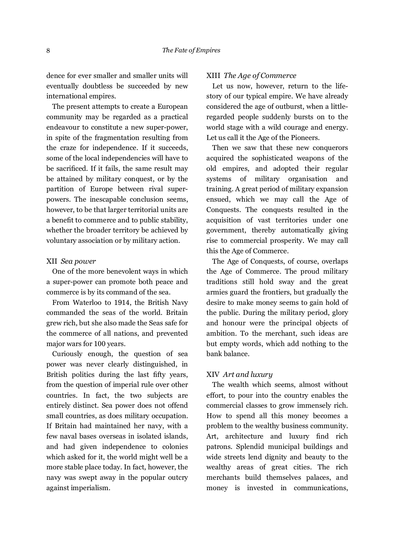dence for ever smaller and smaller units will eventually doubtless be succeeded by new international empires.

The present attempts to create a European community may be regarded as a practical endeavour to constitute a new super-power, in spite of the fragmentation resulting from the craze for independence. If it succeeds, some of the local independencies will have to be sacrificed. If it fails, the same result may be attained by military conquest, or by the partition of Europe between rival superpowers. The inescapable conclusion seems, however, to be that larger territorial units are a benefit to commerce and to public stability, whether the broader territory be achieved by voluntary association or by military action.

#### XII *Sea power*

One of the more benevolent ways in which a super-power can promote both peace and commerce is by its command of the sea.

From Waterloo to 1914, the British Navy commanded the seas of the world. Britain grew rich, but she also made the Seas safe for the commerce of all nations, and prevented major wars for 100 years.

Curiously enough, the question of sea power was never clearly distinguished, in British politics during the last fifty years, from the question of imperial rule over other countries. In fact, the two subjects are entirely distinct. Sea power does not offend small countries, as does military occupation. If Britain had maintained her navy, with a few naval bases overseas in isolated islands, and had given independence to colonies which asked for it, the world might well be a more stable place today. In fact, however, the navy was swept away in the popular outcry against imperialism.

#### XIII *The Age of Commerce*

Let us now, however, return to the lifestory of our typical empire. We have already considered the age of outburst, when a littleregarded people suddenly bursts on to the world stage with a wild courage and energy. Let us call it the Age of the Pioneers.

Then we saw that these new conquerors acquired the sophisticated weapons of the old empires, and adopted their regular systems of military organisation and training. A great period of military expansion ensued, which we may call the Age of Conquests. The conquests resulted in the acquisition of vast territories under one government, thereby automatically giving rise to commercial prosperity. We may call this the Age of Commerce.

The Age of Conquests, of course, overlaps the Age of Commerce. The proud military traditions still hold sway and the great armies guard the frontiers, but gradually the desire to make money seems to gain hold of the public. During the military period, glory and honour were the principal objects of ambition. To the merchant, such ideas are but empty words, which add nothing to the bank balance.

#### XIV *Art and luxury*

The wealth which seems, almost without effort, to pour into the country enables the commercial classes to grow immensely rich. How to spend all this money becomes a problem to the wealthy business community. Art, architecture and luxury find rich patrons. Splendid municipal buildings and wide streets lend dignity and beauty to the wealthy areas of great cities. The rich merchants build themselves palaces, and money is invested in communications,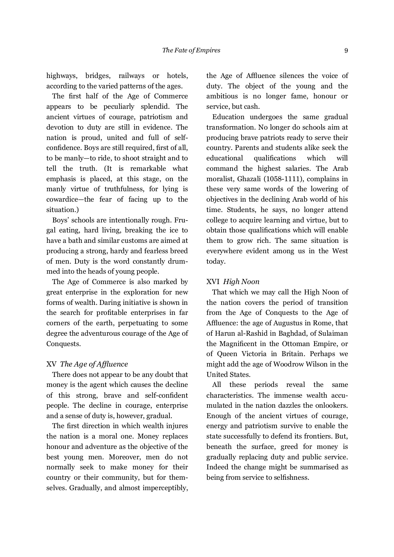highways, bridges, railways or hotels, according to the varied patterns of the ages.

The first half of the Age of Commerce appears to be peculiarly splendid. The ancient virtues of courage, patriotism and devotion to duty are still in evidence. The nation is proud, united and full of selfconfidence. Boys are still required, first of all, to be manly—to ride, to shoot straight and to tell the truth. (It is remarkable what emphasis is placed, at this stage, on the manly virtue of truthfulness, for lying is cowardice—the fear of facing up to the situation.)

Boys' schools are intentionally rough. Frugal eating, hard living, breaking the ice to have a bath and similar customs are aimed at producing a strong, hardy and fearless breed of men. Duty is the word constantly drummed into the heads of young people.

The Age of Commerce is also marked by great enterprise in the exploration for new forms of wealth. Daring initiative is shown in the search for profitable enterprises in far corners of the earth, perpetuating to some degree the adventurous courage of the Age of Conquests.

# XV *The Age of Affluence*

There does not appear to be any doubt that money is the agent which causes the decline of this strong, brave and self-confident people. The decline in courage, enterprise and a sense of duty is, however, gradual.

The first direction in which wealth injures the nation is a moral one. Money replaces honour and adventure as the objective of the best young men. Moreover, men do not normally seek to make money for their country or their community, but for themselves. Gradually, and almost imperceptibly, the Age of Affluence silences the voice of duty. The object of the young and the ambitious is no longer fame, honour or service, but cash.

Education undergoes the same gradual transformation. No longer do schools aim at producing brave patriots ready to serve their country. Parents and students alike seek the educational qualifications which will command the highest salaries. The Arab moralist, Ghazali (1058-1111), complains in these very same words of the lowering of objectives in the declining Arab world of his time. Students, he says, no longer attend college to acquire learning and virtue, but to obtain those qualifications which will enable them to grow rich. The same situation is everywhere evident among us in the West today.

# XVI *High Noon*

That which we may call the High Noon of the nation covers the period of transition from the Age of Conquests to the Age of Affluence: the age of Augustus in Rome, that of Harun al-Rashid in Baghdad, of Sulaiman the Magnificent in the Ottoman Empire, or of Queen Victoria in Britain. Perhaps we might add the age of Woodrow Wilson in the United States.

All these periods reveal the same characteristics. The immense wealth accumulated in the nation dazzles the onlookers. Enough of the ancient virtues of courage, energy and patriotism survive to enable the state successfully to defend its frontiers. But, beneath the surface, greed for money is gradually replacing duty and public service. Indeed the change might be summarised as being from service to selfishness.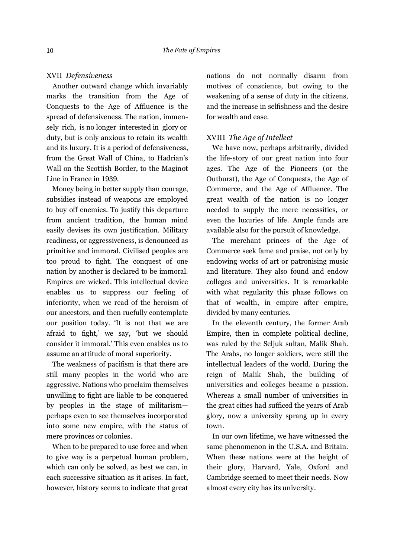#### XVII *Defensiveness*

Another outward change which invariably marks the transition from the Age of Conquests to the Age of Affluence is the spread of defensiveness. The nation, immensely rich, is no longer interested in glory or duty, but is only anxious to retain its wealth and its luxury. It is a period of defensiveness, from the Great Wall of China, to Hadrian's Wall on the Scottish Border, to the Maginot Line in France in 1939.

Money being in better supply than courage, subsidies instead of weapons are employed to buy off enemies. To justify this departure from ancient tradition, the human mind easily devises its own justification. Military readiness, or aggressiveness, is denounced as primitive and immoral. Civilised peoples are too proud to fight. The conquest of one nation by another is declared to be immoral. Empires are wicked. This intellectual device enables us to suppress our feeling of inferiority, when we read of the heroism of our ancestors, and then ruefully contemplate our position today. 'It is not that we are afraid to fight,' we say, 'but we should consider it immoral.' This even enables us to assume an attitude of moral superiority.

The weakness of pacifism is that there are still many peoples in the world who are aggressive. Nations who proclaim themselves unwilling to fight are liable to be conquered by peoples in the stage of militarism perhaps even to see themselves incorporated into some new empire, with the status of mere provinces or colonies.

When to be prepared to use force and when to give way is a perpetual human problem, which can only be solved, as best we can, in each successive situation as it arises. In fact, however, history seems to indicate that great nations do not normally disarm from motives of conscience, but owing to the weakening of a sense of duty in the citizens, and the increase in selfishness and the desire for wealth and ease.

#### XVIII *The Age of Intellect*

We have now, perhaps arbitrarily, divided the life-story of our great nation into four ages. The Age of the Pioneers (or the Outburst), the Age of Conquests, the Age of Commerce, and the Age of Affluence. The great wealth of the nation is no longer needed to supply the mere necessities, or even the luxuries of life. Ample funds are available also for the pursuit of knowledge.

The merchant princes of the Age of Commerce seek fame and praise, not only by endowing works of art or patronising music and literature. They also found and endow colleges and universities. It is remarkable with what regularity this phase follows on that of wealth, in empire after empire, divided by many centuries.

In the eleventh century, the former Arab Empire, then in complete political decline, was ruled by the Seljuk sultan, Malik Shah. The Arabs, no longer soldiers, were still the intellectual leaders of the world. During the reign of Malik Shah, the building of universities and colleges became a passion. Whereas a small number of universities in the great cities had sufficed the years of Arab glory, now a university sprang up in every town.

In our own lifetime, we have witnessed the same phenomenon in the U.S.A. and Britain. When these nations were at the height of their glory, Harvard, Yale, Oxford and Cambridge seemed to meet their needs. Now almost every city has its university.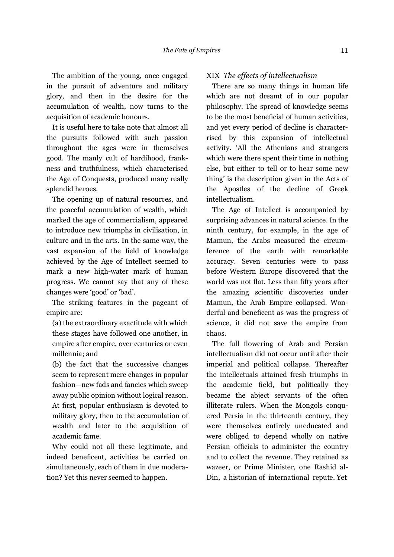The ambition of the young, once engaged in the pursuit of adventure and military glory, and then in the desire for the accumulation of wealth, now turns to the acquisition of academic honours.

It is useful here to take note that almost all the pursuits followed with such passion throughout the ages were in themselves good. The manly cult of hardihood, frankness and truthfulness, which characterised the Age of Conquests, produced many really splendid heroes.

The opening up of natural resources, and the peaceful accumulation of wealth, which marked the age of commercialism, appeared to introduce new triumphs in civilisation, in culture and in the arts. In the same way, the vast expansion of the field of knowledge achieved by the Age of Intellect seemed to mark a new high-water mark of human progress. We cannot say that any of these changes were 'good' or 'bad'.

The striking features in the pageant of empire are:

(a) the extraordinary exactitude with which these stages have followed one another, in empire after empire, over centuries or even millennia; and

(b) the fact that the successive changes seem to represent mere changes in popular fashion—new fads and fancies which sweep away public opinion without logical reason. At first, popular enthusiasm is devoted to military glory, then to the accumulation of wealth and later to the acquisition of academic fame.

Why could not all these legitimate, and indeed beneficent, activities be carried on simultaneously, each of them in due moderation? Yet this never seemed to happen.

# XIX *The effects of intellectualism*

There are so many things in human life which are not dreamt of in our popular philosophy. The spread of knowledge seems to be the most beneficial of human activities, and yet every period of decline is characterrised by this expansion of intellectual activity. 'All the Athenians and strangers which were there spent their time in nothing else, but either to tell or to hear some new thing' is the description given in the Acts of the Apostles of the decline of Greek intellectualism.

The Age of Intellect is accompanied by surprising advances in natural science. In the ninth century, for example, in the age of Mamun, the Arabs measured the circumference of the earth with remarkable accuracy. Seven centuries were to pass before Western Europe discovered that the world was not flat. Less than fifty years after the amazing scientific discoveries under Mamun, the Arab Empire collapsed. Wonderful and beneficent as was the progress of science, it did not save the empire from chaos.

The full flowering of Arab and Persian intellectualism did not occur until after their imperial and political collapse. Thereafter the intellectuals attained fresh triumphs in the academic field, but politically they became the abject servants of the often illiterate rulers. When the Mongols conquered Persia in the thirteenth century, they were themselves entirely uneducated and were obliged to depend wholly on native Persian officials to administer the country and to collect the revenue. They retained as wazeer, or Prime Minister, one Rashid al-Din, a historian of international repute. Yet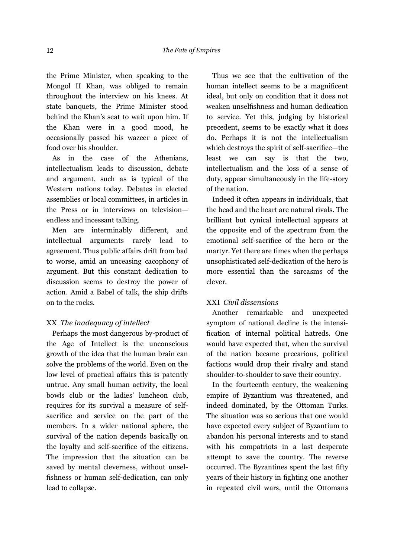the Prime Minister, when speaking to the Mongol II Khan, was obliged to remain throughout the interview on his knees. At state banquets, the Prime Minister stood behind the Khan's seat to wait upon him. If the Khan were in a good mood, he occasionally passed his wazeer a piece of food over his shoulder.

As in the case of the Athenians, intellectualism leads to discussion, debate and argument, such as is typical of the Western nations today. Debates in elected assemblies or local committees, in articles in the Press or in interviews on television endless and incessant talking.

Men are interminably different, and intellectual arguments rarely lead to agreement. Thus public affairs drift from bad to worse, amid an unceasing cacophony of argument. But this constant dedication to discussion seems to destroy the power of action. Amid a Babel of talk, the ship drifts on to the rocks.

# XX *The inadequacy of intellect*

Perhaps the most dangerous by-product of the Age of Intellect is the unconscious growth of the idea that the human brain can solve the problems of the world. Even on the low level of practical affairs this is patently untrue. Any small human activity, the local bowls club or the ladies' luncheon club, requires for its survival a measure of selfsacrifice and service on the part of the members. In a wider national sphere, the survival of the nation depends basically on the loyalty and self-sacrifice of the citizens. The impression that the situation can be saved by mental cleverness, without unselfishness or human self-dedication, can only lead to collapse.

Thus we see that the cultivation of the human intellect seems to be a magnificent ideal, but only on condition that it does not weaken unselfishness and human dedication to service. Yet this, judging by historical precedent, seems to be exactly what it does do. Perhaps it is not the intellectualism which destroys the spirit of self-sacrifice—the least we can say is that the two, intellectualism and the loss of a sense of duty, appear simultaneously in the life-story of the nation.

Indeed it often appears in individuals, that the head and the heart are natural rivals. The brilliant but cynical intellectual appears at the opposite end of the spectrum from the emotional self-sacrifice of the hero or the martyr. Yet there are times when the perhaps unsophisticated self-dedication of the hero is more essential than the sarcasms of the clever.

### XXI *Civil dissensions*

Another remarkable and unexpected symptom of national decline is the intensification of internal political hatreds. One would have expected that, when the survival of the nation became precarious, political factions would drop their rivalry and stand shoulder-to-shoulder to save their country.

In the fourteenth century, the weakening empire of Byzantium was threatened, and indeed dominated, by the Ottoman Turks. The situation was so serious that one would have expected every subject of Byzantium to abandon his personal interests and to stand with his compatriots in a last desperate attempt to save the country. The reverse occurred. The Byzantines spent the last fifty years of their history in fighting one another in repeated civil wars, until the Ottomans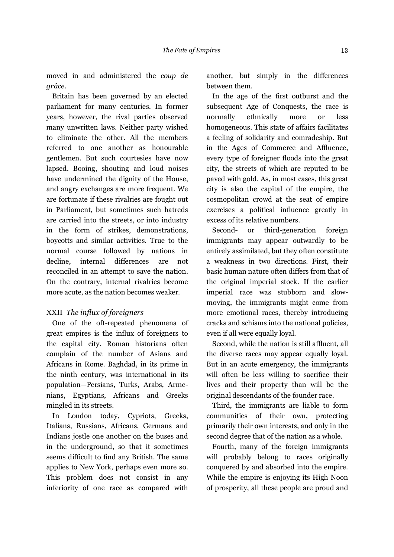moved in and administered the *coup de grâce*.

Britain has been governed by an elected parliament for many centuries. In former years, however, the rival parties observed many unwritten laws. Neither party wished to eliminate the other. All the members referred to one another as honourable gentlemen. But such courtesies have now lapsed. Booing, shouting and loud noises have undermined the dignity of the House, and angry exchanges are more frequent. We are fortunate if these rivalries are fought out in Parliament, but sometimes such hatreds are carried into the streets, or into industry in the form of strikes, demonstrations, boycotts and similar activities. True to the normal course followed by nations in decline, internal differences are not reconciled in an attempt to save the nation. On the contrary, internal rivalries become more acute, as the nation becomes weaker.

# XXII *The influx of foreigners*

One of the oft-repeated phenomena of great empires is the influx of foreigners to the capital city. Roman historians often complain of the number of Asians and Africans in Rome. Baghdad, in its prime in the ninth century, was international in its population—Persians, Turks, Arabs, Armenians, Egyptians, Africans and Greeks mingled in its streets.

In London today, Cypriots, Greeks, Italians, Russians, Africans, Germans and Indians jostle one another on the buses and in the underground, so that it sometimes seems difficult to find any British. The same applies to New York, perhaps even more so. This problem does not consist in any inferiority of one race as compared with another, but simply in the differences between them.

In the age of the first outburst and the subsequent Age of Conquests, the race is normally ethnically more or less homogeneous. This state of affairs facilitates a feeling of solidarity and comradeship. But in the Ages of Commerce and Affluence, every type of foreigner floods into the great city, the streets of which are reputed to be paved with gold. As, in most cases, this great city is also the capital of the empire, the cosmopolitan crowd at the seat of empire exercises a political influence greatly in excess of its relative numbers.

Second- or third-generation foreign immigrants may appear outwardly to be entirely assimilated, but they often constitute a weakness in two directions. First, their basic human nature often differs from that of the original imperial stock. If the earlier imperial race was stubborn and slowmoving, the immigrants might come from more emotional races, thereby introducing cracks and schisms into the national policies, even if all were equally loyal.

Second, while the nation is still affluent, all the diverse races may appear equally loyal. But in an acute emergency, the immigrants will often be less willing to sacrifice their lives and their property than will be the original descendants of the founder race.

Third, the immigrants are liable to form communities of their own, protecting primarily their own interests, and only in the second degree that of the nation as a whole.

Fourth, many of the foreign immigrants will probably belong to races originally conquered by and absorbed into the empire. While the empire is enjoying its High Noon of prosperity, all these people are proud and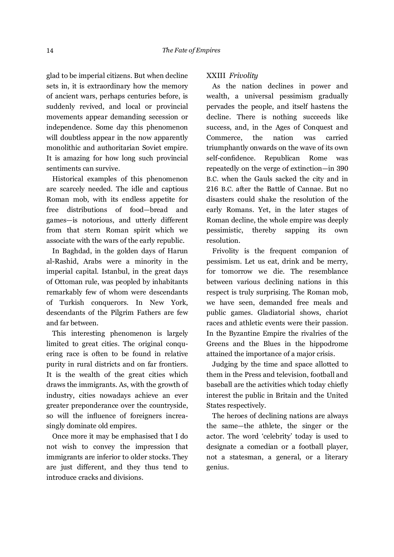glad to be imperial citizens. But when decline sets in, it is extraordinary how the memory of ancient wars, perhaps centuries before, is suddenly revived, and local or provincial movements appear demanding secession or independence. Some day this phenomenon will doubtless appear in the now apparently monolithic and authoritarian Soviet empire. It is amazing for how long such provincial sentiments can survive.

Historical examples of this phenomenon are scarcely needed. The idle and captious Roman mob, with its endless appetite for free distributions of food—bread and games—is notorious, and utterly different from that stern Roman spirit which we associate with the wars of the early republic.

In Baghdad, in the golden days of Harun al-Rashid, Arabs were a minority in the imperial capital. Istanbul, in the great days of Ottoman rule, was peopled by inhabitants remarkably few of whom were descendants of Turkish conquerors. In New York, descendants of the Pilgrim Fathers are few and far between.

This interesting phenomenon is largely limited to great cities. The original conquering race is often to be found in relative purity in rural districts and on far frontiers. It is the wealth of the great cities which draws the immigrants. As, with the growth of industry, cities nowadays achieve an ever greater preponderance over the countryside, so will the influence of foreigners increasingly dominate old empires.

Once more it may be emphasised that I do not wish to convey the impression that immigrants are inferior to older stocks. They are just different, and they thus tend to introduce cracks and divisions.

# XXIII *Frivolity*

As the nation declines in power and wealth, a universal pessimism gradually pervades the people, and itself hastens the decline. There is nothing succeeds like success, and, in the Ages of Conquest and Commerce, the nation was carried triumphantly onwards on the wave of its own self-confidence. Republican Rome was repeatedly on the verge of extinction—in 390 B.C. when the Gauls sacked the city and in 216 B.C. after the Battle of Cannae. But no disasters could shake the resolution of the early Romans. Yet, in the later stages of Roman decline, the whole empire was deeply pessimistic, thereby sapping its own resolution.

Frivolity is the frequent companion of pessimism. Let us eat, drink and be merry, for tomorrow we die. The resemblance between various declining nations in this respect is truly surprising. The Roman mob, we have seen, demanded free meals and public games. Gladiatorial shows, chariot races and athletic events were their passion. In the Byzantine Empire the rivalries of the Greens and the Blues in the hippodrome attained the importance of a major crisis.

Judging by the time and space allotted to them in the Press and television, football and baseball are the activities which today chiefly interest the public in Britain and the United States respectively.

The heroes of declining nations are always the same—the athlete, the singer or the actor. The word 'celebrity' today is used to designate a comedian or a football player, not a statesman, a general, or a literary genius.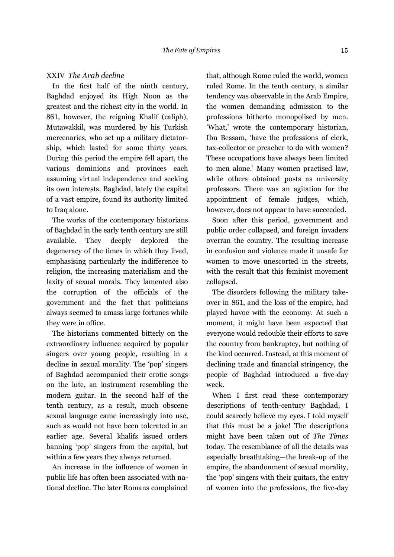#### XXIV *The Arab decline*

In the first half of the ninth century, Baghdad enjoyed its High Noon as the greatest and the richest city in the world. In 861, however, the reigning Khalif (caliph), Mutawakkil, was murdered by his Turkish mercenaries, who set up a military dictatorship, which lasted for some thirty years. During this period the empire fell apart, the various dominions and provinces each assuming virtual independence and seeking its own interests. Baghdad, lately the capital of a vast empire, found its authority limited to Iraq alone.

The works of the contemporary historians of Baghdad in the early tenth century are still available. They deeply deplored the degeneracy of the times in which they lived, emphasising particularly the indifference to religion, the increasing materialism and the laxity of sexual morals. They lamented also the corruption of the officials of the government and the fact that politicians always seemed to amass large fortunes while they were in office.

The historians commented bitterly on the extraordinary influence acquired by popular singers over young people, resulting in a decline in sexual morality. The 'pop' singers of Baghdad accompanied their erotic songs on the lute, an instrument resembling the modern guitar. In the second half of the tenth century, as a result, much obscene sexual language came increasingly into use, such as would not have been tolerated in an earlier age. Several khalifs issued orders banning 'pop' singers from the capital, but within a few years they always returned.

An increase in the influence of women in public life has often been associated with national decline. The later Romans complained that, although Rome ruled the world, women ruled Rome. In the tenth century, a similar tendency was observable in the Arab Empire, the women demanding admission to the professions hitherto monopolised by men. 'What,' wrote the contemporary historian, Ibn Bessam, 'have the professions of clerk, tax-collector or preacher to do with women? These occupations have always been limited to men alone.' Many women practised law, while others obtained posts as university professors. There was an agitation for the appointment of female judges, which, however, does not appear to have succeeded.

Soon after this period, government and public order collapsed, and foreign invaders overran the country. The resulting increase in confusion and violence made it unsafe for women to move unescorted in the streets, with the result that this feminist movement collapsed.

The disorders following the military takeover in 861, and the loss of the empire, had played havoc with the economy. At such a moment, it might have been expected that everyone would redouble their efforts to save the country from bankruptcy, but nothing of the kind occurred. Instead, at this moment of declining trade and financial stringency, the people of Baghdad introduced a five-day week.

When I first read these contemporary descriptions of tenth-century Baghdad, I could scarcely believe my eyes. I told myself that this must be a joke! The descriptions might have been taken out of *The Times* today. The resemblance of all the details was especially breathtaking—the break-up of the empire, the abandonment of sexual morality, the 'pop' singers with their guitars, the entry of women into the professions, the five-day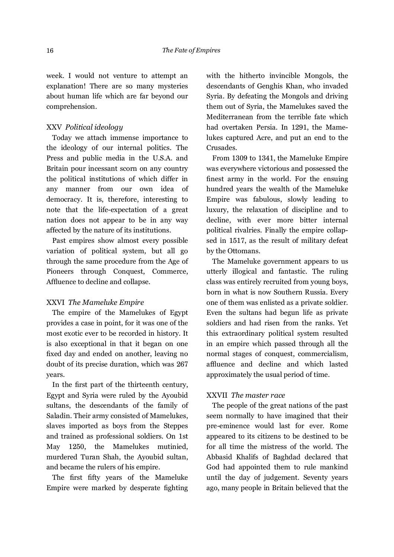week. I would not venture to attempt an explanation! There are so many mysteries about human life which are far beyond our comprehension.

# XXV *Political ideology*

Today we attach immense importance to the ideology of our internal politics. The Press and public media in the U.S.A. and Britain pour incessant scorn on any country the political institutions of which differ in any manner from our own idea of democracy. It is, therefore, interesting to note that the life-expectation of a great nation does not appear to be in any way affected by the nature of its institutions.

Past empires show almost every possible variation of political system, but all go through the same procedure from the Age of Pioneers through Conquest, Commerce, Affluence to decline and collapse.

# XXVI *The Mameluke Empire*

The empire of the Mamelukes of Egypt provides a case in point, for it was one of the most exotic ever to be recorded in history. It is also exceptional in that it began on one fixed day and ended on another, leaving no doubt of its precise duration, which was 267 years.

In the first part of the thirteenth century, Egypt and Syria were ruled by the Ayoubid sultans, the descendants of the family of Saladin. Their army consisted of Mamelukes, slaves imported as boys from the Steppes and trained as professional soldiers. On 1st May 1250, the Mamelukes mutinied, murdered Turan Shah, the Ayoubid sultan, and became the rulers of his empire.

The first fifty years of the Mameluke Empire were marked by desperate fighting with the hitherto invincible Mongols, the descendants of Genghis Khan, who invaded Syria. By defeating the Mongols and driving them out of Syria, the Mamelukes saved the Mediterranean from the terrible fate which had overtaken Persia. In 1291, the Mamelukes captured Acre, and put an end to the Crusades.

From 1309 to 1341, the Mameluke Empire was everywhere victorious and possessed the finest army in the world. For the ensuing hundred years the wealth of the Mameluke Empire was fabulous, slowly leading to luxury, the relaxation of discipline and to decline, with ever more bitter internal political rivalries. Finally the empire collapsed in 1517, as the result of military defeat by the Ottomans.

The Mameluke government appears to us utterly illogical and fantastic. The ruling class was entirely recruited from young boys, born in what is now Southern Russia. Every one of them was enlisted as a private soldier. Even the sultans had begun life as private soldiers and had risen from the ranks. Yet this extraordinary political system resulted in an empire which passed through all the normal stages of conquest, commercialism, affluence and decline and which lasted approximately the usual period of time.

### XXVII *The master race*

The people of the great nations of the past seem normally to have imagined that their pre-eminence would last for ever. Rome appeared to its citizens to be destined to be for all time the mistress of the world. The Abbasid Khalifs of Baghdad declared that God had appointed them to rule mankind until the day of judgement. Seventy years ago, many people in Britain believed that the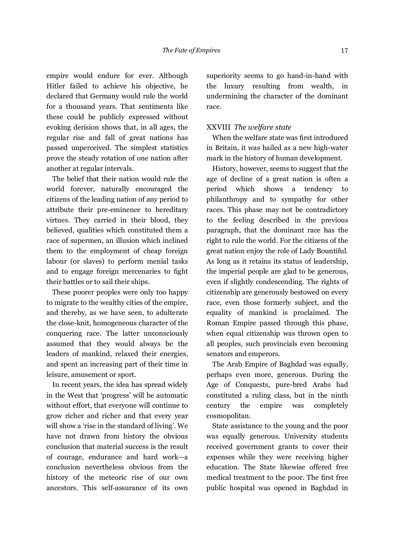empire would endure for ever. Although Hitler failed to achieve his objective, he declared that Germany would rule the world for a thousand years. That sentiments like these could be publicly expressed without evoking derision shows that, in all ages, the regular rise and fall of great nations has passed unperceived. The simplest statistics prove the steady rotation of one nation after another at regular intervals.

The belief that their nation would rule the world forever, naturally encouraged the citizens of the leading nation of any period to attribute their pre-eminence to hereditary virtues. They carried in their blood, they believed, qualities which constituted them a race of supermen, an illusion which inclined them to the employment of cheap foreign labour (or slaves) to perform menial tasks and to engage foreign mercenaries to fight their battles or to sail their ships.

These poorer peoples were only too happy to migrate to the wealthy cities of the empire, and thereby, as we have seen, to adulterate the close-knit, homogeneous character of the conquering race. The latter unconsciously assumed that they would always be the leaders of mankind, relaxed their energies, and spent an increasing part of their time in leisure, amusement or sport.

In recent years, the idea has spread widely in the West that 'progress' will be automatic without effort, that everyone will continue to grow richer and richer and that every year will show a 'rise in the standard of living'. We have not drawn from history the obvious conclusion that material success is the result of courage, endurance and hard work—a conclusion nevertheless obvious from the history of the meteoric rise of our own ancestors. This self-assurance of its own superiority seems to go hand-in-hand with the luxury resulting from wealth, in undermining the character of the dominant race.

#### XXVIII *The welfare state*

When the welfare state was first introduced in Britain, it was hailed as a new high-water mark in the history of human development.

History, however, seems to suggest that the age of decline of a great nation is often a period which shows a tendency to philanthropy and to sympathy for other races. This phase may not be contradictory to the feeling described in the previous paragraph, that the dominant race has the right to rule the world. For the citizens of the great nation enjoy the role of Lady Bountiful. As long as it retains its status of leadership, the imperial people are glad to be generous, even if slightly condescending. The rights of citizenship are generously bestowed on every race, even those formerly subject, and the equality of mankind is proclaimed. The Roman Empire passed through this phase, when equal citizenship was thrown open to all peoples, such provincials even becoming senators and emperors.

The Arab Empire of Baghdad was equally, perhaps even more, generous. During the Age of Conquests, pure-bred Arabs had constituted a ruling class, but in the ninth century the empire was completely cosmopolitan.

State assistance to the young and the poor was equally generous. University students received government grants to cover their expenses while they were receiving higher education. The State likewise offered free medical treatment to the poor. The first free public hospital was opened in Baghdad in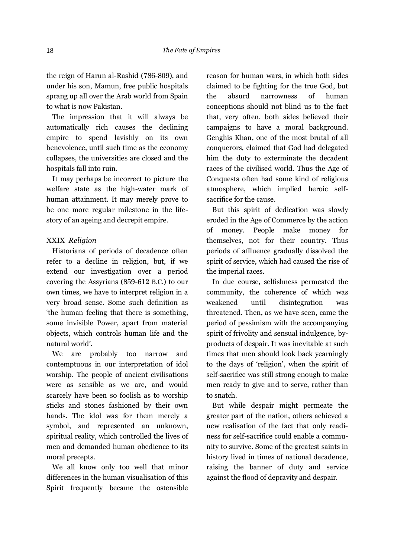the reign of Harun al-Rashid (786-809), and under his son, Mamun, free public hospitals sprang up all over the Arab world from Spain to what is now Pakistan.

The impression that it will always be automatically rich causes the declining empire to spend lavishly on its own benevolence, until such time as the economy collapses, the universities are closed and the hospitals fall into ruin.

It may perhaps be incorrect to picture the welfare state as the high-water mark of human attainment. It may merely prove to be one more regular milestone in the lifestory of an ageing and decrepit empire.

#### XXIX *Religion*

Historians of periods of decadence often refer to a decline in religion, but, if we extend our investigation over a period covering the Assyrians (859-612 B.C.) to our own times, we have to interpret religion in a very broad sense. Some such definition as 'the human feeling that there is something, some invisible Power, apart from material objects, which controls human life and the natural world'.

We are probably too narrow and contemptuous in our interpretation of idol worship. The people of ancient civilisations were as sensible as we are, and would scarcely have been so foolish as to worship sticks and stones fashioned by their own hands. The idol was for them merely a symbol, and represented an unknown, spiritual reality, which controlled the lives of men and demanded human obedience to its moral precepts.

We all know only too well that minor differences in the human visualisation of this Spirit frequently became the ostensible reason for human wars, in which both sides claimed to be fighting for the true God, but the absurd narrowness of human conceptions should not blind us to the fact that, very often, both sides believed their campaigns to have a moral background. Genghis Khan, one of the most brutal of all conquerors, claimed that God had delegated him the duty to exterminate the decadent races of the civilised world. Thus the Age of Conquests often had some kind of religious atmosphere, which implied heroic selfsacrifice for the cause.

But this spirit of dedication was slowly eroded in the Age of Commerce by the action of money. People make money for themselves, not for their country. Thus periods of affluence gradually dissolved the spirit of service, which had caused the rise of the imperial races.

In due course, selfishness permeated the community, the coherence of which was weakened until disintegration was threatened. Then, as we have seen, came the period of pessimism with the accompanying spirit of frivolity and sensual indulgence, byproducts of despair. It was inevitable at such times that men should look back yearningly to the days of 'religion', when the spirit of self-sacrifice was still strong enough to make men ready to give and to serve, rather than to snatch.

But while despair might permeate the greater part of the nation, others achieved a new realisation of the fact that only readiness for self-sacrifice could enable a community to survive. Some of the greatest saints in history lived in times of national decadence, raising the banner of duty and service against the flood of depravity and despair.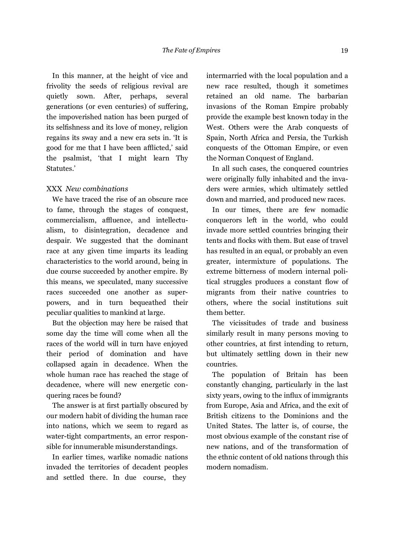In this manner, at the height of vice and frivolity the seeds of religious revival are quietly sown. After, perhaps, several generations (or even centuries) of suffering, the impoverished nation has been purged of its selfishness and its love of money, religion regains its sway and a new era sets in. 'It is good for me that I have been afflicted,' said the psalmist, 'that I might learn Thy Statutes.'

#### XXX *New combinations*

We have traced the rise of an obscure race to fame, through the stages of conquest, commercialism, affluence, and intellectualism, to disintegration, decadence and despair. We suggested that the dominant race at any given time imparts its leading characteristics to the world around, being in due course succeeded by another empire. By this means, we speculated, many successive races succeeded one another as superpowers, and in turn bequeathed their peculiar qualities to mankind at large.

But the objection may here be raised that some day the time will come when all the races of the world will in turn have enjoyed their period of domination and have collapsed again in decadence. When the whole human race has reached the stage of decadence, where will new energetic conquering races be found?

The answer is at first partially obscured by our modern habit of dividing the human race into nations, which we seem to regard as water-tight compartments, an error responsible for innumerable misunderstandings.

In earlier times, warlike nomadic nations invaded the territories of decadent peoples and settled there. In due course, they

intermarried with the local population and a new race resulted, though it sometimes retained an old name. The barbarian invasions of the Roman Empire probably provide the example best known today in the West. Others were the Arab conquests of Spain, North Africa and Persia, the Turkish conquests of the Ottoman Empire, or even the Norman Conquest of England.

In all such cases, the conquered countries were originally fully inhabited and the invaders were armies, which ultimately settled down and married, and produced new races.

In our times, there are few nomadic conquerors left in the world, who could invade more settled countries bringing their tents and flocks with them. But ease of travel has resulted in an equal, or probably an even greater, intermixture of populations. The extreme bitterness of modern internal political struggles produces a constant flow of migrants from their native countries to others, where the social institutions suit them better.

The vicissitudes of trade and business similarly result in many persons moving to other countries, at first intending to return, but ultimately settling down in their new countries.

The population of Britain has been constantly changing, particularly in the last sixty years, owing to the influx of immigrants from Europe, Asia and Africa, and the exit of British citizens to the Dominions and the United States. The latter is, of course, the most obvious example of the constant rise of new nations, and of the transformation of the ethnic content of old nations through this modern nomadism.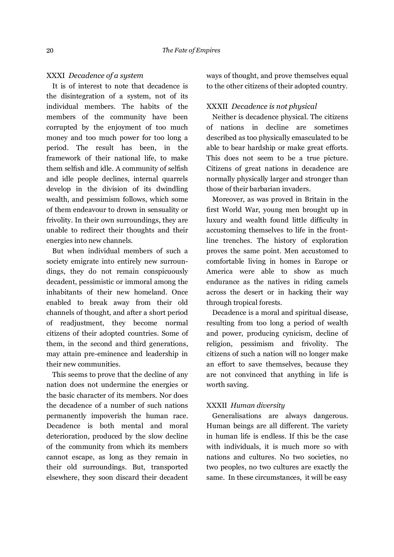# XXXI *Decadence of a system*

It is of interest to note that decadence is the disintegration of a system, not of its individual members. The habits of the members of the community have been corrupted by the enjoyment of too much money and too much power for too long a period. The result has been, in the framework of their national life, to make them selfish and idle. A community of selfish and idle people declines, internal quarrels develop in the division of its dwindling wealth, and pessimism follows, which some of them endeavour to drown in sensuality or frivolity. In their own surroundings, they are unable to redirect their thoughts and their energies into new channels.

But when individual members of such a society emigrate into entirely new surroundings, they do not remain conspicuously decadent, pessimistic or immoral among the inhabitants of their new homeland. Once enabled to break away from their old channels of thought, and after a short period of readjustment, they become normal citizens of their adopted countries. Some of them, in the second and third generations, may attain pre-eminence and leadership in their new communities.

This seems to prove that the decline of any nation does not undermine the energies or the basic character of its members. Nor does the decadence of a number of such nations permanently impoverish the human race. Decadence is both mental and moral deterioration, produced by the slow decline of the community from which its members cannot escape, as long as they remain in their old surroundings. But, transported elsewhere, they soon discard their decadent ways of thought, and prove themselves equal to the other citizens of their adopted country.

# XXXII *Decadence is not physical*

Neither is decadence physical. The citizens of nations in decline are sometimes described as too physically emasculated to be able to bear hardship or make great efforts. This does not seem to be a true picture. Citizens of great nations in decadence are normally physically larger and stronger than those of their barbarian invaders.

Moreover, as was proved in Britain in the first World War, young men brought up in luxury and wealth found little difficulty in accustoming themselves to life in the frontline trenches. The history of exploration proves the same point. Men accustomed to comfortable living in homes in Europe or America were able to show as much endurance as the natives in riding camels across the desert or in hacking their way through tropical forests.

Decadence is a moral and spiritual disease, resulting from too long a period of wealth and power, producing cynicism, decline of religion, pessimism and frivolity. The citizens of such a nation will no longer make an effort to save themselves, because they are not convinced that anything in life is worth saving.

#### XXXII *Human diversity*

Generalisations are always dangerous. Human beings are all different. The variety in human life is endless. If this be the case with individuals, it is much more so with nations and cultures. No two societies, no two peoples, no two cultures are exactly the same. In these circumstances, it will be easy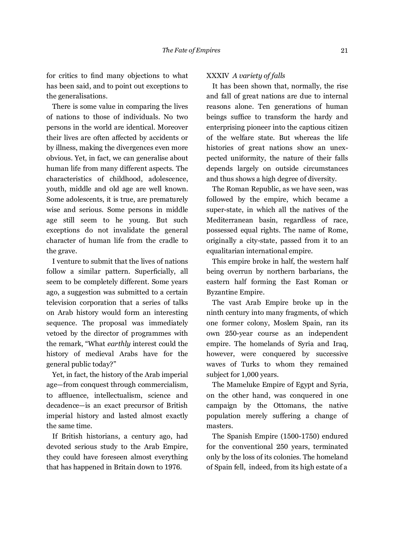for critics to find many objections to what has been said, and to point out exceptions to the generalisations.

There is some value in comparing the lives of nations to those of individuals. No two persons in the world are identical. Moreover their lives are often affected by accidents or by illness, making the divergences even more obvious. Yet, in fact, we can generalise about human life from many different aspects. The characteristics of childhood, adolescence, youth, middle and old age are well known. Some adolescents, it is true, are prematurely wise and serious. Some persons in middle age still seem to he young. But such exceptions do not invalidate the general character of human life from the cradle to the grave.

I venture to submit that the lives of nations follow a similar pattern. Superficially, all seem to be completely different. Some years ago, a suggestion was submitted to a certain television corporation that a series of talks on Arab history would form an interesting sequence. The proposal was immediately vetoed by the director of programmes with the remark, "What *earthly* interest could the history of medieval Arabs have for the general public today?"

Yet, in fact, the history of the Arab imperial age—from conquest through commercialism, to affluence, intellectualism, science and decadence—is an exact precursor of British imperial history and lasted almost exactly the same time.

If British historians, a century ago, had devoted serious study to the Arab Empire, they could have foreseen almost everything that has happened in Britain down to 1976.

# XXXIV *A variety of falls*

It has been shown that, normally, the rise and fall of great nations are due to internal reasons alone. Ten generations of human beings suffice to transform the hardy and enterprising pioneer into the captious citizen of the welfare state. But whereas the life histories of great nations show an unexpected uniformity, the nature of their falls depends largely on outside circumstances and thus shows a high degree of diversity.

The Roman Republic, as we have seen, was followed by the empire, which became a super-state, in which all the natives of the Mediterranean basin, regardless of race, possessed equal rights. The name of Rome, originally a city-state, passed from it to an equalitarian international empire.

This empire broke in half, the western half being overrun by northern barbarians, the eastern half forming the East Roman or Byzantine Empire.

The vast Arab Empire broke up in the ninth century into many fragments, of which one former colony, Moslem Spain, ran its own 250-year course as an independent empire. The homelands of Syria and Iraq, however, were conquered by successive waves of Turks to whom they remained subject for 1,000 years.

The Mameluke Empire of Egypt and Syria, on the other hand, was conquered in one campaign by the Ottomans, the native population merely suffering a change of masters.

The Spanish Empire (1500-1750) endured for the conventional 250 years, terminated only by the loss of its colonies. The homeland of Spain fell, indeed, from its high estate of a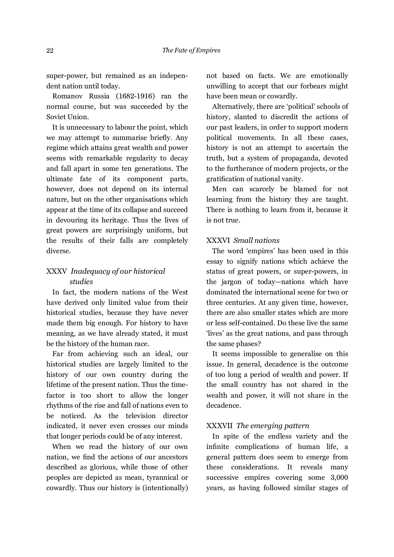super-power, but remained as an independent nation until today.

Romanov Russia (1682-1916) ran the normal course, but was succeeded by the Soviet Union.

It is unnecessary to labour the point, which we may attempt to summarise briefly. Any regime which attains great wealth and power seems with remarkable regularity to decay and fall apart in some ten generations. The ultimate fate of its component parts, however, does not depend on its internal nature, but on the other organisations which appear at the time of its collapse and succeed in devouring its heritage. Thus the lives of great powers are surprisingly uniform, but the results of their falls are completely diverse.

# XXXV *Inadequacy of our historical studies*

In fact, the modern nations of the West have derived only limited value from their historical studies, because they have never made them big enough. For history to have meaning, as we have already stated, it must be the history of the human race.

Far from achieving such an ideal, our historical studies are largely limited to the history of our own country during the lifetime of the present nation. Thus the timefactor is too short to allow the longer rhythms of the rise and fall of nations even to be noticed. As the television director indicated, it never even crosses our minds that longer periods could be of any interest.

When we read the history of our own nation, we find the actions of our ancestors described as glorious, while those of other peoples are depicted as mean, tyrannical or cowardly. Thus our history is (intentionally) not based on facts. We are emotionally unwilling to accept that our forbears might have been mean or cowardly.

Alternatively, there are 'political' schools of history, slanted to discredit the actions of our past leaders, in order to support modern political movements. In all these cases, history is not an attempt to ascertain the truth, but a system of propaganda, devoted to the furtherance of modern projects, or the gratification of national vanity.

Men can scarcely be blamed for not learning from the history they are taught. There is nothing to learn from it, because it is not true.

# XXXVI *Small nations*

The word 'empires' has been used in this essay to signify nations which achieve the status of great powers, or super-powers, in the jargon of today—nations which have dominated the international scene for two or three centuries. At any given time, however, there are also smaller states which are more or less self-contained. Do these live the same 'lives' as the great nations, and pass through the same phases?

It seems impossible to generalise on this issue. In general, decadence is the outcome of too long a period of wealth and power. If the small country has not shared in the wealth and power, it will not share in the decadence.

# XXXVII *The emerging pattern*

In spite of the endless variety and the infinite complications of human life, a general pattern does seem to emerge from these considerations. It reveals many successive empires covering some 3,000 years, as having followed similar stages of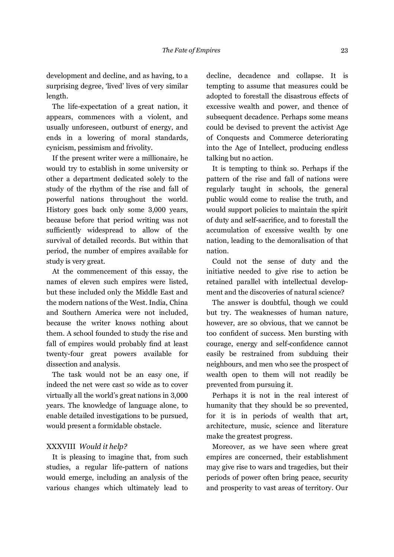development and decline, and as having, to a surprising degree, 'lived' lives of very similar length.

The life-expectation of a great nation, it appears, commences with a violent, and usually unforeseen, outburst of energy, and ends in a lowering of moral standards, cynicism, pessimism and frivolity.

If the present writer were a millionaire, he would try to establish in some university or other a department dedicated solely to the study of the rhythm of the rise and fall of powerful nations throughout the world. History goes back only some 3,000 years, because before that period writing was not sufficiently widespread to allow of the survival of detailed records. But within that period, the number of empires available for study is very great.

At the commencement of this essay, the names of eleven such empires were listed, but these included only the Middle East and the modern nations of the West. India, China and Southern America were not included, because the writer knows nothing about them. A school founded to study the rise and fall of empires would probably find at least twenty-four great powers available for dissection and analysis.

The task would not be an easy one, if indeed the net were cast so wide as to cover virtually all the world's great nations in 3,000 years. The knowledge of language alone, to enable detailed investigations to be pursued, would present a formidable obstacle.

#### XXXVIII *Would it help?*

It is pleasing to imagine that, from such studies, a regular life-pattern of nations would emerge, including an analysis of the various changes which ultimately lead to decline, decadence and collapse. It is tempting to assume that measures could be adopted to forestall the disastrous effects of excessive wealth and power, and thence of subsequent decadence. Perhaps some means could be devised to prevent the activist Age of Conquests and Commerce deteriorating into the Age of Intellect, producing endless talking but no action.

It is tempting to think so. Perhaps if the pattern of the rise and fall of nations were regularly taught in schools, the general public would come to realise the truth, and would support policies to maintain the spirit of duty and self-sacrifice, and to forestall the accumulation of excessive wealth by one nation, leading to the demoralisation of that nation.

Could not the sense of duty and the initiative needed to give rise to action be retained parallel with intellectual development and the discoveries of natural science?

The answer is doubtful, though we could but try. The weaknesses of human nature, however, are so obvious, that we cannot be too confident of success. Men bursting with courage, energy and self-confidence cannot easily be restrained from subduing their neighbours, and men who see the prospect of wealth open to them will not readily be prevented from pursuing it.

Perhaps it is not in the real interest of humanity that they should be so prevented, for it is in periods of wealth that art, architecture, music, science and literature make the greatest progress.

Moreover, as we have seen where great empires are concerned, their establishment may give rise to wars and tragedies, but their periods of power often bring peace, security and prosperity to vast areas of territory. Our